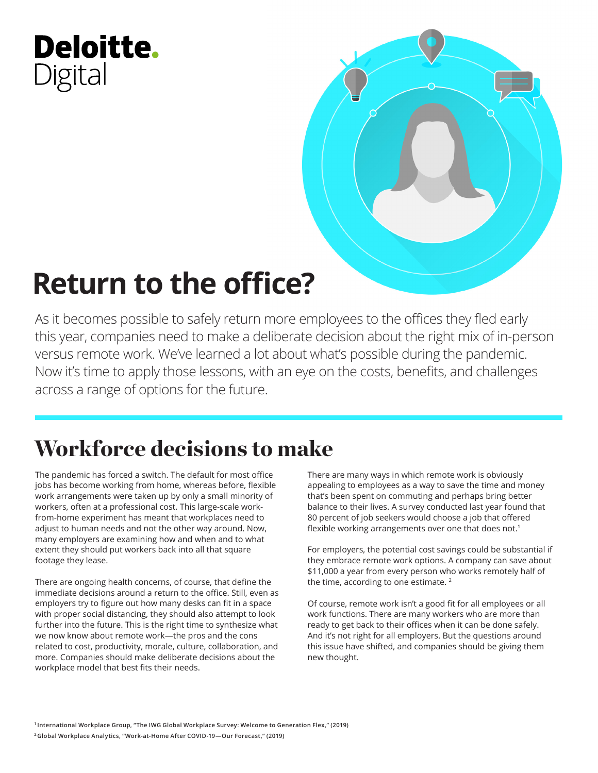## Deloitte. Digital



# **Return to the office?**

As it becomes possible to safely return more employees to the offices they fled early this year, companies need to make a deliberate decision about the right mix of in-person versus remote work. We've learned a lot about what's possible during the pandemic. Now it's time to apply those lessons, with an eye on the costs, benefits, and challenges across a range of options for the future.

## Workforce decisions to make

The pandemic has forced a switch. The default for most office jobs has become working from home, whereas before, flexible work arrangements were taken up by only a small minority of workers, often at a professional cost. This large-scale workfrom-home experiment has meant that workplaces need to adjust to human needs and not the other way around. Now, many employers are examining how and when and to what extent they should put workers back into all that square footage they lease.

There are ongoing health concerns, of course, that define the immediate decisions around a return to the office. Still, even as employers try to figure out how many desks can fit in a space with proper social distancing, they should also attempt to look further into the future. This is the right time to synthesize what we now know about remote work—the pros and the cons related to cost, productivity, morale, culture, collaboration, and more. Companies should make deliberate decisions about the workplace model that best fits their needs.

There are many ways in which remote work is obviously appealing to employees as a way to save the time and money that's been spent on commuting and perhaps bring better balance to their lives. A survey conducted last year found that 80 percent of job seekers would choose a job that offered flexible working arrangements over one that does not.<sup>1</sup>

For employers, the potential cost savings could be substantial if they embrace remote work options. A company can save about \$11,000 a year from every person who works remotely half of the time, according to one estimate.<sup>2</sup>

Of course, remote work isn't a good fit for all employees or all work functions. There are many workers who are more than ready to get back to their offices when it can be done safely. And it's not right for all employers. But the questions around this issue have shifted, and companies should be giving them new thought.